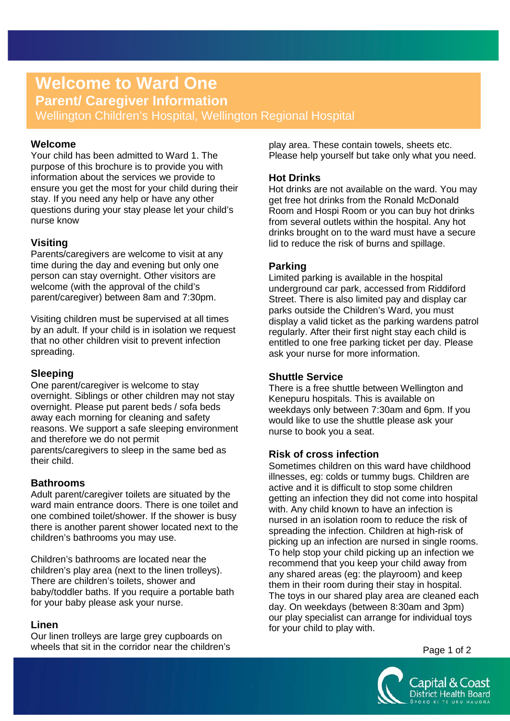# **Welcome to Ward One**

**Parent/ Caregiver Information**

Wellington Children's Hospital, Wellington Regional Hospital

## **Welcome**

Your child has been admitted to Ward 1. The purpose of this brochure is to provide you with information about the services we provide to ensure you get the most for your child during their stay. If you need any help or have any other questions during your stay please let your child's nurse know

# **Visiting**

Parents/caregivers are welcome to visit at any time during the day and evening but only one person can stay overnight. Other visitors are welcome (with the approval of the child's parent/caregiver) between 8am and 7:30pm.

Visiting children must be supervised at all times by an adult. If your child is in isolation we request that no other children visit to prevent infection spreading.

# **Sleeping**

One parent/caregiver is welcome to stay overnight. Siblings or other children may not stay overnight. Please put parent beds / sofa beds away each morning for cleaning and safety reasons. We support a safe sleeping environment and therefore we do not permit parents/caregivers to sleep in the same bed as their child.

# **Bathrooms**

Adult parent/caregiver toilets are situated by the ward main entrance doors. There is one toilet and one combined toilet/shower. If the shower is busy there is another parent shower located next to the children's bathrooms you may use.

Children's bathrooms are located near the children's play area (next to the linen trolleys). There are children's toilets, shower and baby/toddler baths. If you require a portable bath for your baby please ask your nurse.

# **Linen**

Our linen trolleys are large grey cupboards on wheels that sit in the corridor near the children's play area. These contain towels, sheets etc. Please help yourself but take only what you need.

# **Hot Drinks**

Hot drinks are not available on the ward. You may get free hot drinks from the Ronald McDonald Room and Hospi Room or you can buy hot drinks from several outlets within the hospital. Any hot drinks brought on to the ward must have a secure lid to reduce the risk of burns and spillage.

# **Parking**

Limited parking is available in the hospital underground car park, accessed from Riddiford Street. There is also limited pay and display car parks outside the Children's Ward, you must display a valid ticket as the parking wardens patrol regularly. After their first night stay each child is entitled to one free parking ticket per day. Please ask your nurse for more information.

## **Shuttle Service**

There is a free shuttle between Wellington and Kenepuru hospitals. This is available on weekdays only between 7:30am and 6pm. If you would like to use the shuttle please ask your nurse to book you a seat.

# **Risk of cross infection**

Sometimes children on this ward have childhood illnesses, eg: colds or tummy bugs. Children are active and it is difficult to stop some children getting an infection they did not come into hospital with. Any child known to have an infection is nursed in an isolation room to reduce the risk of spreading the infection. Children at high-risk of picking up an infection are nursed in single rooms. To help stop your child picking up an infection we recommend that you keep your child away from any shared areas (eg: the playroom) and keep them in their room during their stay in hospital. The toys in our shared play area are cleaned each day. On weekdays (between 8:30am and 3pm) our play specialist can arrange for individual toys for your child to play with.

Page 1 of 2